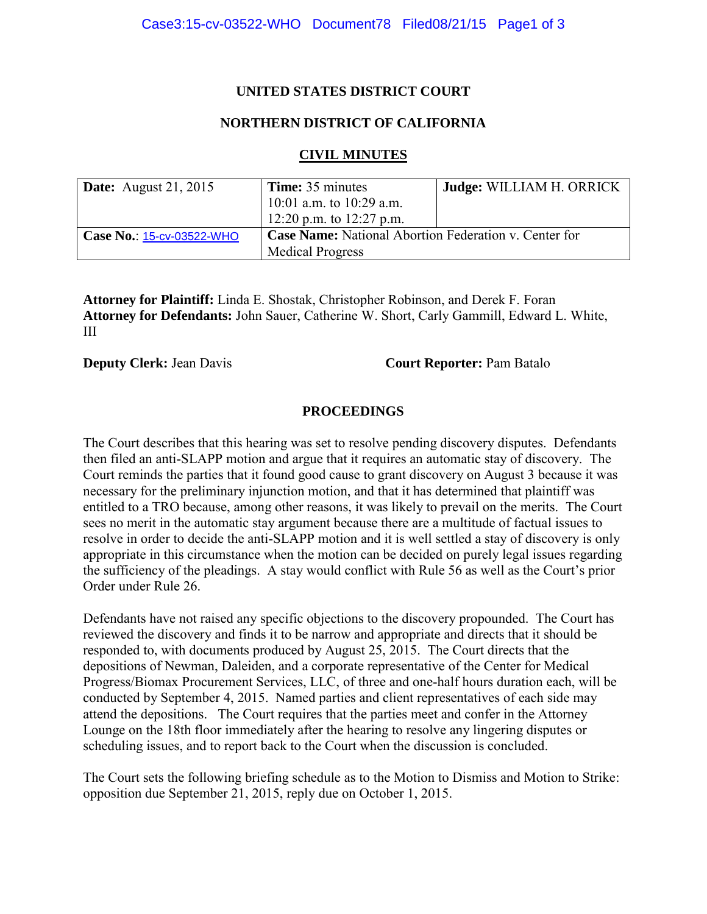## **UNITED STATES DISTRICT COURT**

## **NORTHERN DISTRICT OF CALIFORNIA**

## **CIVIL MINUTES**

| <b>Date:</b> August 21, 2015 | <b>Time:</b> 35 minutes                                      | Judge: WILLIAM H. ORRICK |
|------------------------------|--------------------------------------------------------------|--------------------------|
|                              | $10:01$ a.m. to 10:29 a.m.                                   |                          |
|                              | 12:20 p.m. to 12:27 p.m.                                     |                          |
| Case No.: 15-cv-03522-WHO    | <b>Case Name:</b> National Abortion Federation v. Center for |                          |
|                              | <b>Medical Progress</b>                                      |                          |

**Attorney for Plaintiff:** Linda E. Shostak, Christopher Robinson, and Derek F. Foran **Attorney for Defendants:** John Sauer, Catherine W. Short, Carly Gammill, Edward L. White, III

**Deputy Clerk:** Jean Davis **Court Reporter:** Pam Batalo

## **PROCEEDINGS**

The Court describes that this hearing was set to resolve pending discovery disputes. Defendants then filed an anti-SLAPP motion and argue that it requires an automatic stay of discovery. The Court reminds the parties that it found good cause to grant discovery on August 3 because it was necessary for the preliminary injunction motion, and that it has determined that plaintiff was entitled to a TRO because, among other reasons, it was likely to prevail on the merits. The Court sees no merit in the automatic stay argument because there are a multitude of factual issues to resolve in order to decide the anti-SLAPP motion and it is well settled a stay of discovery is only appropriate in this circumstance when the motion can be decided on purely legal issues regarding the sufficiency of the pleadings. A stay would conflict with Rule 56 as well as the Court's prior Order under Rule 26.

Defendants have not raised any specific objections to the discovery propounded. The Court has reviewed the discovery and finds it to be narrow and appropriate and directs that it should be responded to, with documents produced by August 25, 2015. The Court directs that the depositions of Newman, Daleiden, and a corporate representative of the Center for Medical Progress/Biomax Procurement Services, LLC, of three and one-half hours duration each, will be conducted by September 4, 2015. Named parties and client representatives of each side may attend the depositions. The Court requires that the parties meet and confer in the Attorney Lounge on the 18th floor immediately after the hearing to resolve any lingering disputes or scheduling issues, and to report back to the Court when the discussion is concluded.

The Court sets the following briefing schedule as to the Motion to Dismiss and Motion to Strike: opposition due September 21, 2015, reply due on October 1, 2015.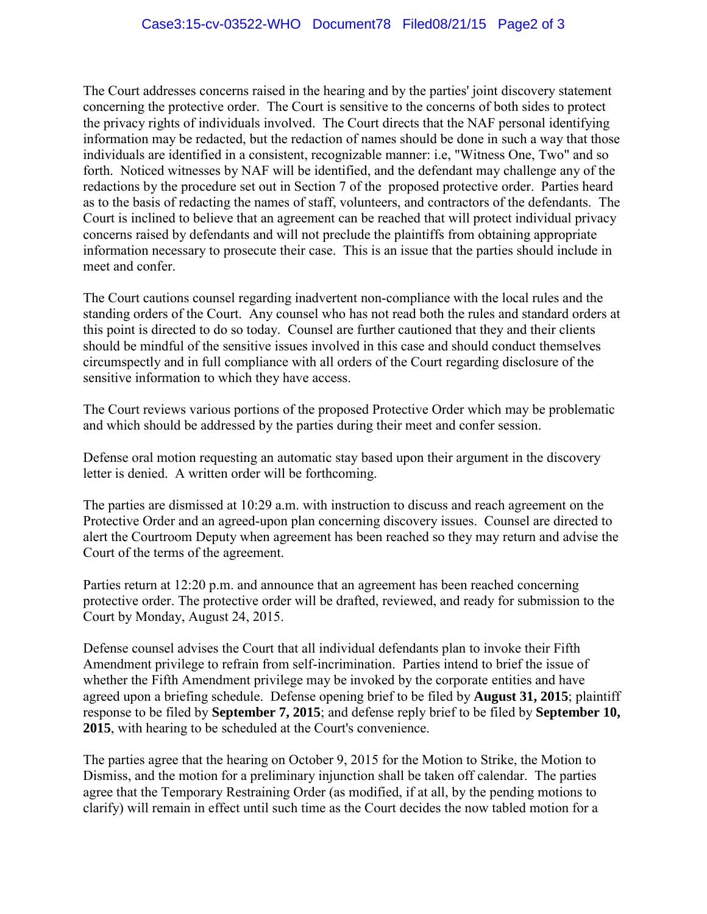The Court addresses concerns raised in the hearing and by the parties' joint discovery statement concerning the protective order. The Court is sensitive to the concerns of both sides to protect the privacy rights of individuals involved. The Court directs that the NAF personal identifying information may be redacted, but the redaction of names should be done in such a way that those individuals are identified in a consistent, recognizable manner: i.e, "Witness One, Two" and so forth. Noticed witnesses by NAF will be identified, and the defendant may challenge any of the redactions by the procedure set out in Section 7 of the proposed protective order. Parties heard as to the basis of redacting the names of staff, volunteers, and contractors of the defendants. The Court is inclined to believe that an agreement can be reached that will protect individual privacy concerns raised by defendants and will not preclude the plaintiffs from obtaining appropriate information necessary to prosecute their case. This is an issue that the parties should include in meet and confer.

The Court cautions counsel regarding inadvertent non-compliance with the local rules and the standing orders of the Court. Any counsel who has not read both the rules and standard orders at this point is directed to do so today. Counsel are further cautioned that they and their clients should be mindful of the sensitive issues involved in this case and should conduct themselves circumspectly and in full compliance with all orders of the Court regarding disclosure of the sensitive information to which they have access.

The Court reviews various portions of the proposed Protective Order which may be problematic and which should be addressed by the parties during their meet and confer session.

Defense oral motion requesting an automatic stay based upon their argument in the discovery letter is denied. A written order will be forthcoming.

The parties are dismissed at 10:29 a.m. with instruction to discuss and reach agreement on the Protective Order and an agreed-upon plan concerning discovery issues. Counsel are directed to alert the Courtroom Deputy when agreement has been reached so they may return and advise the Court of the terms of the agreement.

Parties return at 12:20 p.m. and announce that an agreement has been reached concerning protective order. The protective order will be drafted, reviewed, and ready for submission to the Court by Monday, August 24, 2015.

Defense counsel advises the Court that all individual defendants plan to invoke their Fifth Amendment privilege to refrain from self-incrimination. Parties intend to brief the issue of whether the Fifth Amendment privilege may be invoked by the corporate entities and have agreed upon a briefing schedule. Defense opening brief to be filed by **August 31, 2015**; plaintiff response to be filed by **September 7, 2015**; and defense reply brief to be filed by **September 10, 2015**, with hearing to be scheduled at the Court's convenience.

The parties agree that the hearing on October 9, 2015 for the Motion to Strike, the Motion to Dismiss, and the motion for a preliminary injunction shall be taken off calendar. The parties agree that the Temporary Restraining Order (as modified, if at all, by the pending motions to clarify) will remain in effect until such time as the Court decides the now tabled motion for a